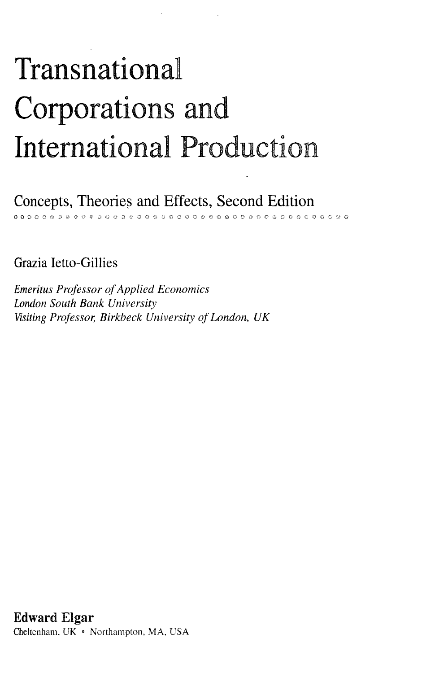## Transnational Corporations and International Production

Concepts, Theories and Effects, Second Edition *&* **§ « O (M) C O 9 O O Q I © O O O 5 O O O O Ci C O O O 9 O**

Grazia Ietto-Gillies

*Emeritus Professor of Applied Economics London South Bank University Visiting Professor, Birkbeck University of London, UK*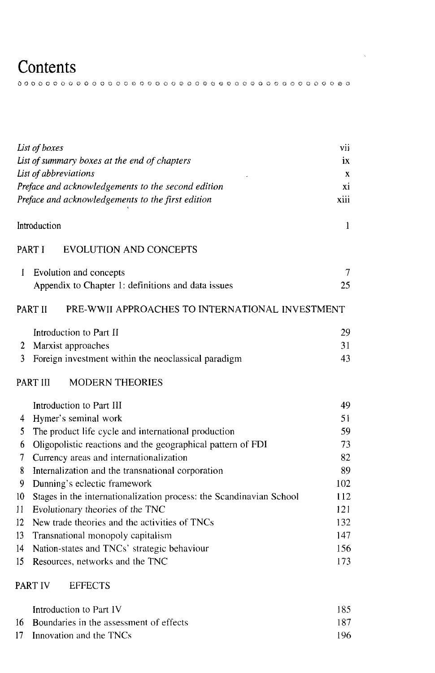## **Contents**

ooooooooooooooooooooooooeo«ooo©ooooooooo o

 $\sim 10^7$ 

| List of boxes                                      |                                                                     |            |  |  |  |
|----------------------------------------------------|---------------------------------------------------------------------|------------|--|--|--|
| List of summary boxes at the end of chapters       |                                                                     |            |  |  |  |
| List of abbreviations                              |                                                                     |            |  |  |  |
| Preface and acknowledgements to the second edition |                                                                     |            |  |  |  |
| Preface and acknowledgements to the first edition  |                                                                     |            |  |  |  |
|                                                    | Introduction<br>$\mathbf{1}$                                        |            |  |  |  |
| PART I<br><b>EVOLUTION AND CONCEPTS</b>            |                                                                     |            |  |  |  |
| 1                                                  | Evolution and concepts                                              | 7          |  |  |  |
|                                                    | Appendix to Chapter 1: definitions and data issues                  | 25         |  |  |  |
|                                                    | PART II<br>PRE-WWII APPROACHES TO INTERNATIONAL INVESTMENT          |            |  |  |  |
|                                                    | Introduction to Part II                                             | 29         |  |  |  |
| 2                                                  | Marxist approaches                                                  | 31         |  |  |  |
| 3                                                  | Foreign investment within the neoclassical paradigm                 | 43         |  |  |  |
| PART III<br><b>MODERN THEORIES</b>                 |                                                                     |            |  |  |  |
|                                                    | Introduction to Part III                                            | 49         |  |  |  |
| 4                                                  | Hymer's seminal work                                                | 51         |  |  |  |
| 5                                                  | The product life cycle and international production                 | 59         |  |  |  |
| 6                                                  | Oligopolistic reactions and the geographical pattern of FDI         | 73         |  |  |  |
| 7                                                  | Currency areas and internationalization                             |            |  |  |  |
| 8                                                  | Internalization and the transnational corporation                   | 89         |  |  |  |
| 9                                                  | Dunning's eclectic framework                                        | 102        |  |  |  |
| 10                                                 | Stages in the internationalization process: the Scandinavian School | 112<br>121 |  |  |  |
| 11                                                 | Evolutionary theories of the TNC                                    |            |  |  |  |
| 12                                                 | New trade theories and the activities of TNCs                       |            |  |  |  |
| 13                                                 | 147<br>Transnational monopoly capitalism<br>156                     |            |  |  |  |
| 14                                                 | Nation-states and TNCs' strategic behaviour                         |            |  |  |  |
| 15                                                 | Resources, networks and the TNC                                     | 173        |  |  |  |

## PART IV EFFECTS

| Introduction to Part IV                    | 185. |
|--------------------------------------------|------|
| 16 Boundaries in the assessment of effects | 187. |
| 17 Innovation and the TNCs                 | 196. |